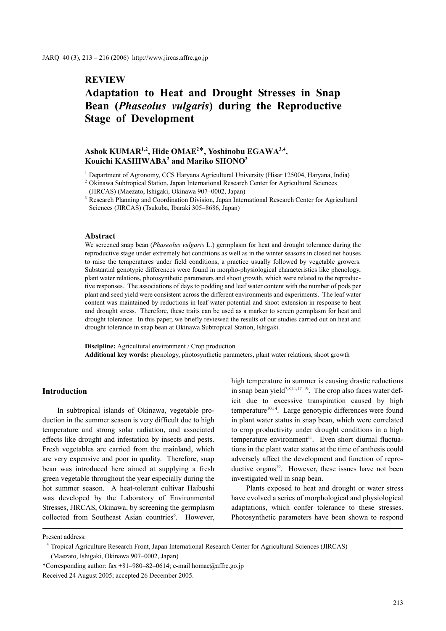# **REVIEW**

# **Adaptation to Heat and Drought Stresses in Snap Bean (***Phaseolus vulgaris***) during the Reproductive Stage of Development**

## **Ashok KUMAR1,2, Hide OMAE2** \***, Yoshinobu EGAWA3,4, Kouichi KASHIWABA2 and Mariko SHONO2**

<sup>1</sup> Department of Agronomy, CCS Haryana Agricultural University (Hisar 125004, Haryana, India)

#### **Abstract**

We screened snap bean (*Phaseolus vulgaris* L.) germplasm for heat and drought tolerance during the reproductive stage under extremely hot conditions as well as in the winter seasons in closed net houses to raise the temperatures under field conditions, a practice usually followed by vegetable growers. Substantial genotypic differences were found in morpho-physiological characteristics like phenology, plant water relations, photosynthetic parameters and shoot growth, which were related to the reproductive responses. The associations of days to podding and leaf water content with the number of pods per plant and seed yield were consistent across the different environments and experiments. The leaf water content was maintained by reductions in leaf water potential and shoot extension in response to heat and drought stress. Therefore, these traits can be used as a marker to screen germplasm for heat and drought tolerance. In this paper, we briefly reviewed the results of our studies carried out on heat and drought tolerance in snap bean at Okinawa Subtropical Station, Ishigaki.

**Discipline:** Agricultural environment / Crop production **Additional key words:** phenology, photosynthetic parameters, plant water relations, shoot growth

#### **Introduction**

In subtropical islands of Okinawa, vegetable production in the summer season is very difficult due to high temperature and strong solar radiation, and associated effects like drought and infestation by insects and pests. Fresh vegetables are carried from the mainland, which are very expensive and poor in quality. Therefore, snap bean was introduced here aimed at supplying a fresh green vegetable throughout the year especially during the hot summer season. A heat-tolerant cultivar Haibushi was developed by the Laboratory of Environmental Stresses, JIRCAS, Okinawa, by screening the germplasm collected from Southeast Asian countries<sup>6</sup>. However,

high temperature in summer is causing drastic reductions in snap bean yield<sup>7,8,11,17–19</sup>. The crop also faces water deficit due to excessive transpiration caused by high temperature<sup>10,14</sup>. Large genotypic differences were found in plant water status in snap bean, which were correlated to crop productivity under drought conditions in a high temperature environment<sup>11</sup>. Even short diurnal fluctuations in the plant water status at the time of anthesis could adversely affect the development and function of reproductive organs $19$ . However, these issues have not been investigated well in snap bean.

Plants exposed to heat and drought or water stress have evolved a series of morphological and physiological adaptations, which confer tolerance to these stresses. Photosynthetic parameters have been shown to respond

<sup>2</sup> Okinawa Subtropical Station, Japan International Research Center for Agricultural Sciences (JIRCAS) (Maezato, Ishigaki, Okinawa 907–0002, Japan)

<sup>&</sup>lt;sup>3</sup> Research Planning and Coordination Division, Japan International Research Center for Agricultural Sciences (JIRCAS) (Tsukuba, Ibaraki 305–8686, Japan)

Present address:

<sup>4</sup> Tropical Agriculture Research Front, Japan International Research Center for Agricultural Sciences (JIRCAS)

<sup>(</sup>Maezato, Ishigaki, Okinawa 907–0002, Japan)

<sup>\*</sup>Corresponding author: fax +81–980–82–0614; e-mail homae@affrc.go.jp Received 24 August 2005; accepted 26 December 2005.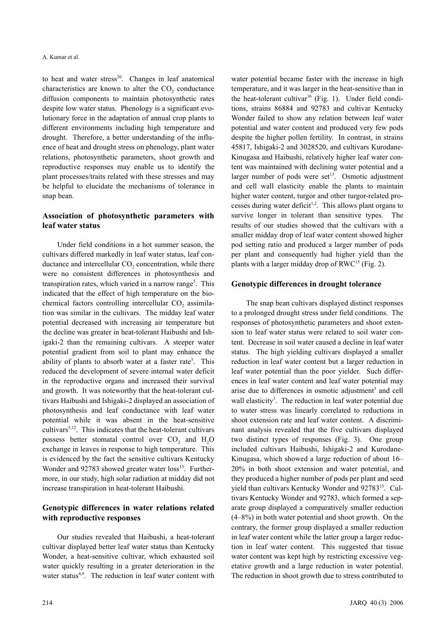to heat and water stress $^{20}$ . Changes in leaf anatomical characteristics are known to alter the  $CO<sub>2</sub>$  conductance diffusion components to maintain photosynthetic rates despite low water status. Phenology is a significant evolutionary force in the adaptation of annual crop plants to different environments including high temperature and drought. Therefore, a better understanding of the influence of heat and drought stress on phenology, plant water relations, photosynthetic parameters, shoot growth and reproductive responses may enable us to identify the plant processes/traits related with these stresses and may be helpful to elucidate the mechanisms of tolerance in snap bean.

## **Association of photosynthetic parameters with leaf water status**

Under field conditions in a hot summer season, the cultivars differed markedly in leaf water status, leaf conductance and intercellular CO<sub>2</sub> concentration, while there were no consistent differences in photosynthesis and transpiration rates, which varied in a narrow range<sup>5</sup>. This indicated that the effect of high temperature on the biochemical factors controlling intercellular  $CO<sub>2</sub>$  assimilation was similar in the cultivars. The midday leaf water potential decreased with increasing air temperature but the decline was greater in heat-tolerant Haibushi and Ishigaki-2 than the remaining cultivars. A steeper water potential gradient from soil to plant may enhance the ability of plants to absorb water at a faster rate<sup>3</sup>. This reduced the development of severe internal water deficit in the reproductive organs and increased their survival and growth. It was noteworthy that the heat-tolerant cultivars Haibushi and Ishigaki-2 displayed an association of photosynthesis and leaf conductance with leaf water potential while it was absent in the heat-sensitive cultivars<sup>5,12</sup>. This indicates that the heat-tolerant cultivars possess better stomatal control over CO<sub>2</sub> and H<sub>2</sub>O exchange in leaves in response to high temperature. This is evidenced by the fact the sensitive cultivars Kentucky Wonder and 92783 showed greater water loss<sup>13</sup>. Furthermore, in our study, high solar radiation at midday did not increase transpiration in heat-tolerant Haibushi.

### **Genotypic differences in water relations related with reproductive responses**

Our studies revealed that Haibushi, a heat-tolerant cultivar displayed better leaf water status than Kentucky Wonder, a heat-sensitive cultivar, which exhausted soil water quickly resulting in a greater deterioration in the water status<sup>4,9</sup>. The reduction in leaf water content with water potential became faster with the increase in high temperature, and it was larger in the heat-sensitive than in the heat-tolerant cultivar<sup>16</sup> (Fig. 1). Under field conditions, strains 86884 and 92783 and cultivar Kentucky Wonder failed to show any relation between leaf water potential and water content and produced very few pods despite the higher pollen fertility. In contrast, in strains 45817, Ishigaki-2 and 3028520, and cultivars Kurodane-Kinugasa and Haibushi, relatively higher leaf water content was maintained with declining water potential and a larger number of pods were set<sup>13</sup>. Osmotic adjustment and cell wall elasticity enable the plants to maintain higher water content, turgor and other turgor-related processes during water deficit<sup>1,2</sup>. This allows plant organs to survive longer in tolerant than sensitive types. The results of our studies showed that the cultivars with a smaller midday drop of leaf water content showed higher pod setting ratio and produced a larger number of pods per plant and consequently had higher yield than the plants with a larger midday drop of  $RWC^{15}$  (Fig. 2).

#### **Genotypic differences in drought tolerance**

The snap bean cultivars displayed distinct responses to a prolonged drought stress under field conditions. The responses of photosynthetic parameters and shoot extension to leaf water status were related to soil water content. Decrease in soil water caused a decline in leaf water status. The high yielding cultivars displayed a smaller reduction in leaf water content but a larger reduction in leaf water potential than the poor yielder. Such differences in leaf water content and leaf water potential may arise due to differences in osmotic adjustment<sup>3</sup> and cell wall elasticity<sup>1</sup>. The reduction in leaf water potential due to water stress was linearly correlated to reductions in shoot extension rate and leaf water content. A discriminant analysis revealed that the five cultivars displayed two distinct types of responses (Fig. 3). One group included cultivars Haibushi, Ishigaki-2 and Kurodane-Kinugasa, which showed a large reduction of about 16– 20% in both shoot extension and water potential, and they produced a higher number of pods per plant and seed yield than cultivars Kentucky Wonder and 92783<sup>13</sup>. Cultivars Kentucky Wonder and 92783, which formed a separate group displayed a comparatively smaller reduction (4–8%) in both water potential and shoot growth. On the contrary, the former group displayed a smaller reduction in leaf water content while the latter group a larger reduction in leaf water content. This suggested that tissue water content was kept high by restricting excessive vegetative growth and a large reduction in water potential. The reduction in shoot growth due to stress contributed to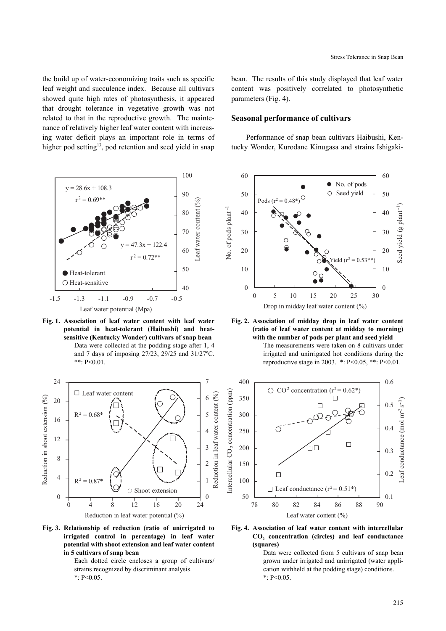the build up of water-economizing traits such as specific leaf weight and succulence index. Because all cultivars showed quite high rates of photosynthesis, it appeared that drought tolerance in vegetative growth was not related to that in the reproductive growth. The maintenance of relatively higher leaf water content with increasing water deficit plays an important role in terms of higher pod setting<sup>13</sup>, pod retention and seed yield in snap



**Fig. 1. Association of leaf water content with leaf water potential in heat-tolerant (Haibushi) and heatsensitive (Kentucky Wonder) cultivars of snap bean**  Data were collected at the podding stage after 1, 4 and 7 days of imposing 27/23, 29/25 and 31/27ºC. \*\*: P<0.01.



**Fig. 3. Relationship of reduction (ratio of unirrigated to irrigated control in percentage) in leaf water potential with shoot extension and leaf water content in 5 cultivars of snap bean**

Each dotted circle encloses a group of cultivars/ strains recognized by discriminant analysis. \*: P<0.05.

bean. The results of this study displayed that leaf water content was positively correlated to photosynthetic parameters (Fig. 4).

#### **Seasonal performance of cultivars**

Performance of snap bean cultivars Haibushi, Kentucky Wonder, Kurodane Kinugasa and strains Ishigaki-





The measurements were taken on 8 cultivars under irrigated and unirrigated hot conditions during the reproductive stage in 2003. \*: P<0.05, \*\*: P<0.01.



**Fig. 4. Association of leaf water content with intercellular CO2 concentration (circles) and leaf conductance (squares)**

Data were collected from 5 cultivars of snap bean grown under irrigated and unirrigated (water application withheld at the podding stage) conditions. \*:  $P < 0.05$ .